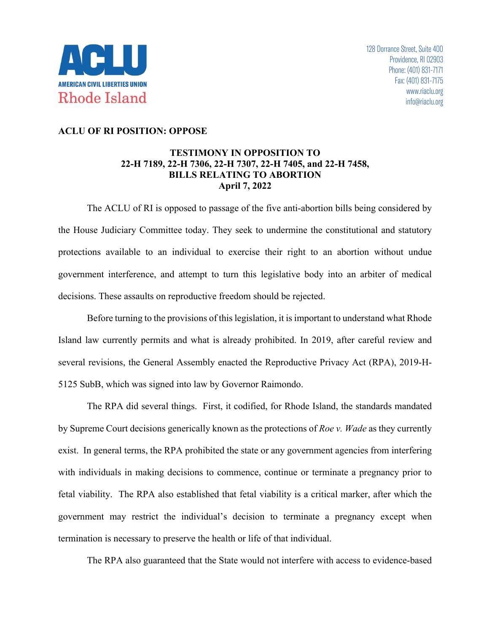

## **ACLU OF RI POSITION: OPPOSE**

## **TESTIMONY IN OPPOSITION TO 22-H 7189, 22-H 7306, 22-H 7307, 22-H 7405, and 22-H 7458, BILLS RELATING TO ABORTION April 7, 2022**

The ACLU of RI is opposed to passage of the five anti-abortion bills being considered by the House Judiciary Committee today. They seek to undermine the constitutional and statutory protections available to an individual to exercise their right to an abortion without undue government interference, and attempt to turn this legislative body into an arbiter of medical decisions. These assaults on reproductive freedom should be rejected.

Before turning to the provisions of this legislation, it is important to understand what Rhode Island law currently permits and what is already prohibited. In 2019, after careful review and several revisions, the General Assembly enacted the Reproductive Privacy Act (RPA), 2019-H-5125 SubB, which was signed into law by Governor Raimondo.

The RPA did several things. First, it codified, for Rhode Island, the standards mandated by Supreme Court decisions generically known as the protections of *Roe v. Wade* as they currently exist. In general terms, the RPA prohibited the state or any government agencies from interfering with individuals in making decisions to commence, continue or terminate a pregnancy prior to fetal viability. The RPA also established that fetal viability is a critical marker, after which the government may restrict the individual's decision to terminate a pregnancy except when termination is necessary to preserve the health or life of that individual.

The RPA also guaranteed that the State would not interfere with access to evidence-based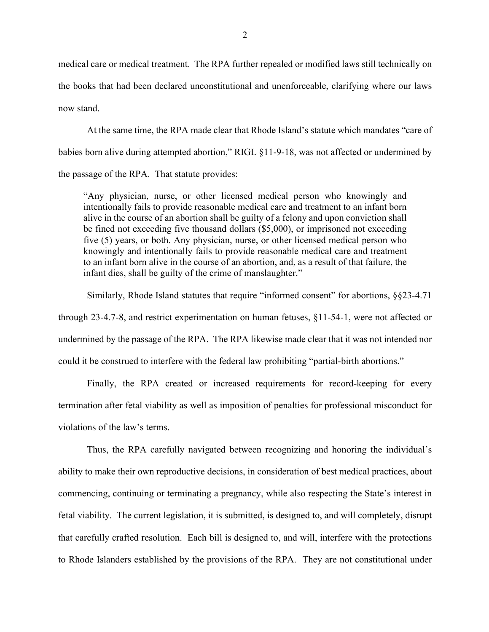medical care or medical treatment. The RPA further repealed or modified laws still technically on the books that had been declared unconstitutional and unenforceable, clarifying where our laws now stand.

At the same time, the RPA made clear that Rhode Island's statute which mandates "care of babies born alive during attempted abortion," RIGL §11-9-18, was not affected or undermined by the passage of the RPA. That statute provides:

"Any physician, nurse, or other licensed medical person who knowingly and intentionally fails to provide reasonable medical care and treatment to an infant born alive in the course of an abortion shall be guilty of a felony and upon conviction shall be fined not exceeding five thousand dollars (\$5,000), or imprisoned not exceeding five (5) years, or both. Any physician, nurse, or other licensed medical person who knowingly and intentionally fails to provide reasonable medical care and treatment to an infant born alive in the course of an abortion, and, as a result of that failure, the infant dies, shall be guilty of the crime of manslaughter."

Similarly, Rhode Island statutes that require "informed consent" for abortions, §§23-4.71 through 23-4.7-8, and restrict experimentation on human fetuses, §11-54-1, were not affected or undermined by the passage of the RPA. The RPA likewise made clear that it was not intended nor could it be construed to interfere with the federal law prohibiting "partial-birth abortions."

Finally, the RPA created or increased requirements for record-keeping for every termination after fetal viability as well as imposition of penalties for professional misconduct for violations of the law's terms.

Thus, the RPA carefully navigated between recognizing and honoring the individual's ability to make their own reproductive decisions, in consideration of best medical practices, about commencing, continuing or terminating a pregnancy, while also respecting the State's interest in fetal viability. The current legislation, it is submitted, is designed to, and will completely, disrupt that carefully crafted resolution. Each bill is designed to, and will, interfere with the protections to Rhode Islanders established by the provisions of the RPA. They are not constitutional under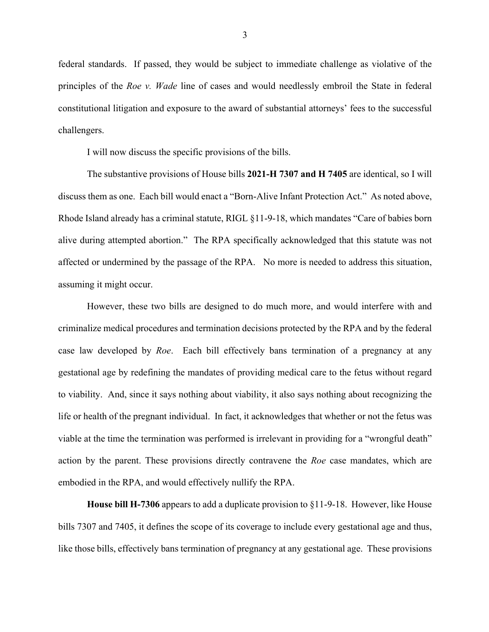federal standards. If passed, they would be subject to immediate challenge as violative of the principles of the *Roe v. Wade* line of cases and would needlessly embroil the State in federal constitutional litigation and exposure to the award of substantial attorneys' fees to the successful challengers.

I will now discuss the specific provisions of the bills.

The substantive provisions of House bills **2021-H 7307 and H 7405** are identical, so I will discuss them as one. Each bill would enact a "Born-Alive Infant Protection Act." As noted above, Rhode Island already has a criminal statute, RIGL §11-9-18, which mandates "Care of babies born alive during attempted abortion." The RPA specifically acknowledged that this statute was not affected or undermined by the passage of the RPA. No more is needed to address this situation, assuming it might occur.

However, these two bills are designed to do much more, and would interfere with and criminalize medical procedures and termination decisions protected by the RPA and by the federal case law developed by *Roe*. Each bill effectively bans termination of a pregnancy at any gestational age by redefining the mandates of providing medical care to the fetus without regard to viability. And, since it says nothing about viability, it also says nothing about recognizing the life or health of the pregnant individual. In fact, it acknowledges that whether or not the fetus was viable at the time the termination was performed is irrelevant in providing for a "wrongful death" action by the parent. These provisions directly contravene the *Roe* case mandates, which are embodied in the RPA, and would effectively nullify the RPA.

**House bill H-7306** appears to add a duplicate provision to §11-9-18. However, like House bills 7307 and 7405, it defines the scope of its coverage to include every gestational age and thus, like those bills, effectively bans termination of pregnancy at any gestational age. These provisions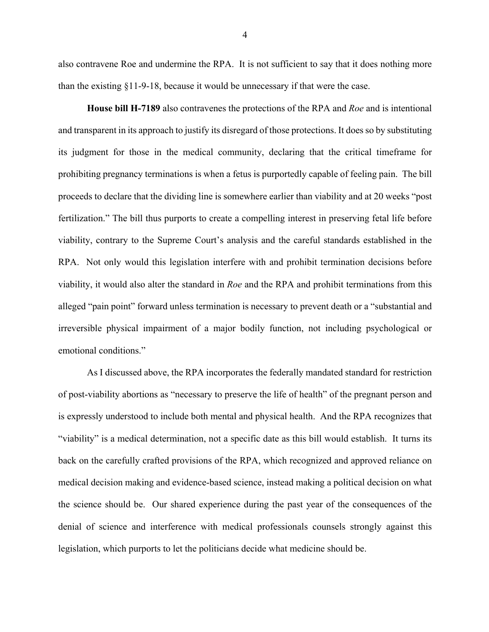also contravene Roe and undermine the RPA. It is not sufficient to say that it does nothing more than the existing §11-9-18, because it would be unnecessary if that were the case.

**House bill H-7189** also contravenes the protections of the RPA and *Roe* and is intentional and transparent in its approach to justify its disregard of those protections. It does so by substituting its judgment for those in the medical community, declaring that the critical timeframe for prohibiting pregnancy terminations is when a fetus is purportedly capable of feeling pain. The bill proceeds to declare that the dividing line is somewhere earlier than viability and at 20 weeks "post fertilization." The bill thus purports to create a compelling interest in preserving fetal life before viability, contrary to the Supreme Court's analysis and the careful standards established in the RPA. Not only would this legislation interfere with and prohibit termination decisions before viability, it would also alter the standard in *Roe* and the RPA and prohibit terminations from this alleged "pain point" forward unless termination is necessary to prevent death or a "substantial and irreversible physical impairment of a major bodily function, not including psychological or emotional conditions."

As I discussed above, the RPA incorporates the federally mandated standard for restriction of post-viability abortions as "necessary to preserve the life of health" of the pregnant person and is expressly understood to include both mental and physical health. And the RPA recognizes that "viability" is a medical determination, not a specific date as this bill would establish. It turns its back on the carefully crafted provisions of the RPA, which recognized and approved reliance on medical decision making and evidence-based science, instead making a political decision on what the science should be. Our shared experience during the past year of the consequences of the denial of science and interference with medical professionals counsels strongly against this legislation, which purports to let the politicians decide what medicine should be.